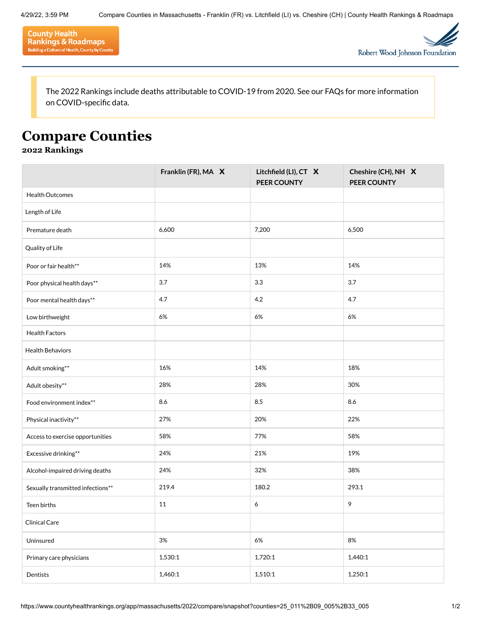



The 2022 Rankings include deaths attributable to COVID-19 from 2020. See our [FAQs](https://www.countyhealthrankings.org/explore-health-rankings/faq-page) for more information on COVID-specific data.

## **Compare Counties**

## **2022 Rankings**

|                                   | Franklin (FR), MA X | Litchfield (LI), CT X<br>PEER COUNTY | Cheshire (CH), NH X<br>PEER COUNTY |
|-----------------------------------|---------------------|--------------------------------------|------------------------------------|
| <b>Health Outcomes</b>            |                     |                                      |                                    |
| Length of Life                    |                     |                                      |                                    |
| Premature death                   | 6,600               | 7,200                                | 6,500                              |
| Quality of Life                   |                     |                                      |                                    |
| Poor or fair health**             | 14%                 | 13%                                  | 14%                                |
| Poor physical health days**       | 3.7                 | 3.3                                  | 3.7                                |
| Poor mental health days**         | 4.7                 | 4.2                                  | 4.7                                |
| Low birthweight                   | 6%                  | 6%                                   | 6%                                 |
| <b>Health Factors</b>             |                     |                                      |                                    |
| <b>Health Behaviors</b>           |                     |                                      |                                    |
| Adult smoking**                   | 16%                 | 14%                                  | 18%                                |
| Adult obesity**                   | 28%                 | 28%                                  | 30%                                |
| Food environment index**          | 8.6                 | 8.5                                  | 8.6                                |
| Physical inactivity**             | 27%                 | 20%                                  | 22%                                |
| Access to exercise opportunities  | 58%                 | 77%                                  | 58%                                |
| Excessive drinking**              | 24%                 | 21%                                  | 19%                                |
| Alcohol-impaired driving deaths   | 24%                 | 32%                                  | 38%                                |
| Sexually transmitted infections** | 219.4               | 180.2                                | 293.1                              |
| Teen births                       | 11                  | 6                                    | 9                                  |
| Clinical Care                     |                     |                                      |                                    |
| Uninsured                         | $3\%$               | 6%                                   | 8%                                 |
| Primary care physicians           | 1,530:1             | 1,720:1                              | 1,440:1                            |
| Dentists                          | 1,460:1             | 1,510:1                              | 1,250:1                            |